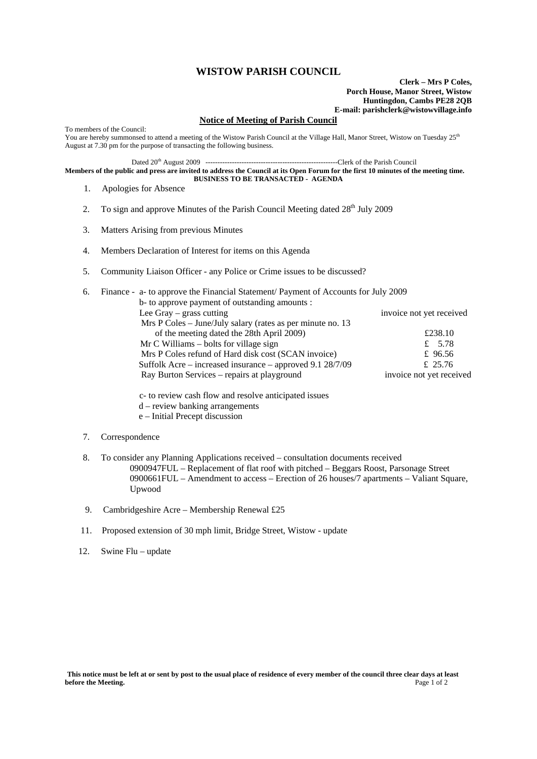## **WISTOW PARISH COUNCIL**

**Clerk – Mrs P Coles, Porch House, Manor Street, Wistow Huntingdon, Cambs PE28 2QB E-mail: parishclerk@wistowvillage.info**

## **Notice of Meeting of Parish Council**

To members of the Council: You are hereby summonsed to attend a meeting of the Wistow Parish Council at the Village Hall, Manor Street, Wistow on Tuesday 25<sup>th</sup> August at 7.30 pm for the purpose of transacting the following business.

Dated 20th August 2009 -------------------------------------------------------Clerk of the Parish Council

**Members of the public and press are invited to address the Council at its Open Forum for the first 10 minutes of the meeting time. BUSINESS TO BE TRANSACTED - AGENDA** 

- 1. Apologies for Absence
- 2. To sign and approve Minutes of the Parish Council Meeting dated  $28<sup>th</sup>$  July 2009
- 3. Matters Arising from previous Minutes
- 4. Members Declaration of Interest for items on this Agenda
- 5. Community Liaison Officer any Police or Crime issues to be discussed?

| 6. | Finance - a- to approve the Financial Statement/ Payment of Accounts for July 2009 |                          |
|----|------------------------------------------------------------------------------------|--------------------------|
|    | b- to approve payment of outstanding amounts :                                     |                          |
|    | Lee Gray $-$ grass cutting                                                         | invoice not yet received |
|    | Mrs P Coles – June/July salary (rates as per minute no. 13)                        |                          |
|    | of the meeting dated the 28th April 2009)                                          | £238.10                  |
|    | $MrC$ Williams – bolts for village sign                                            | £ 5.78                   |
|    | Mrs P Coles refund of Hard disk cost (SCAN invoice)                                | £ 96.56                  |
|    | Suffolk Acre – increased insurance – approved 9.1 28/7/09                          | £ 25.76                  |
|    | Ray Burton Services – repairs at playground                                        | invoice not yet received |
|    |                                                                                    |                          |

 c- to review cash flow and resolve anticipated issues d – review banking arrangements

- e Initial Precept discussion
- 7. Correspondence
- 8. To consider any Planning Applications received consultation documents received 0900947FUL – Replacement of flat roof with pitched – Beggars Roost, Parsonage Street 0900661FUL – Amendment to access – Erection of 26 houses/7 apartments – Valiant Square, Upwood
- 9. Cambridgeshire Acre Membership Renewal £25
- 11. Proposed extension of 30 mph limit, Bridge Street, Wistow update
- 12. Swine Flu update